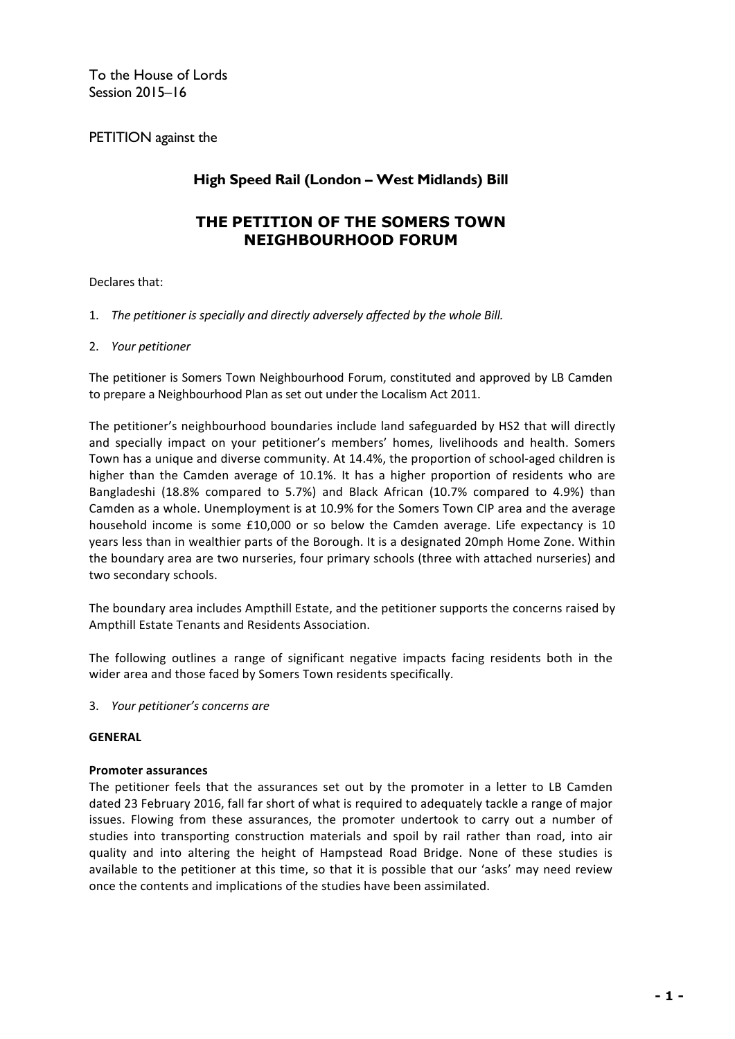To the House of Lords Session 2015–16

PETITION against the

# **High Speed Rail (London – West Midlands) Bill**

# **THE PETITION OF THE SOMERS TOWN NEIGHBOURHOOD FORUM**

Declares that:

- 1. The petitioner is specially and directly adversely affected by the whole Bill.
- 2. *Your petitioner*

The petitioner is Somers Town Neighbourhood Forum, constituted and approved by LB Camden to prepare a Neighbourhood Plan as set out under the Localism Act 2011.

The petitioner's neighbourhood boundaries include land safeguarded by HS2 that will directly and specially impact on your petitioner's members' homes, livelihoods and health. Somers Town has a unique and diverse community. At 14.4%, the proportion of school-aged children is higher than the Camden average of 10.1%. It has a higher proportion of residents who are Bangladeshi (18.8% compared to 5.7%) and Black African (10.7% compared to 4.9%) than Camden as a whole. Unemployment is at 10.9% for the Somers Town CIP area and the average household income is some £10,000 or so below the Camden average. Life expectancy is 10 years less than in wealthier parts of the Borough. It is a designated 20mph Home Zone. Within the boundary area are two nurseries, four primary schools (three with attached nurseries) and two secondary schools.

The boundary area includes Ampthill Estate, and the petitioner supports the concerns raised by Ampthill Estate Tenants and Residents Association.

The following outlines a range of significant negative impacts facing residents both in the wider area and those faced by Somers Town residents specifically.

3. *Your petitioner's concerns are* 

# **GENERAL**

# **Promoter assurances**

The petitioner feels that the assurances set out by the promoter in a letter to LB Camden dated 23 February 2016, fall far short of what is required to adequately tackle a range of major issues. Flowing from these assurances, the promoter undertook to carry out a number of studies into transporting construction materials and spoil by rail rather than road, into air quality and into altering the height of Hampstead Road Bridge. None of these studies is available to the petitioner at this time, so that it is possible that our 'asks' may need review once the contents and implications of the studies have been assimilated.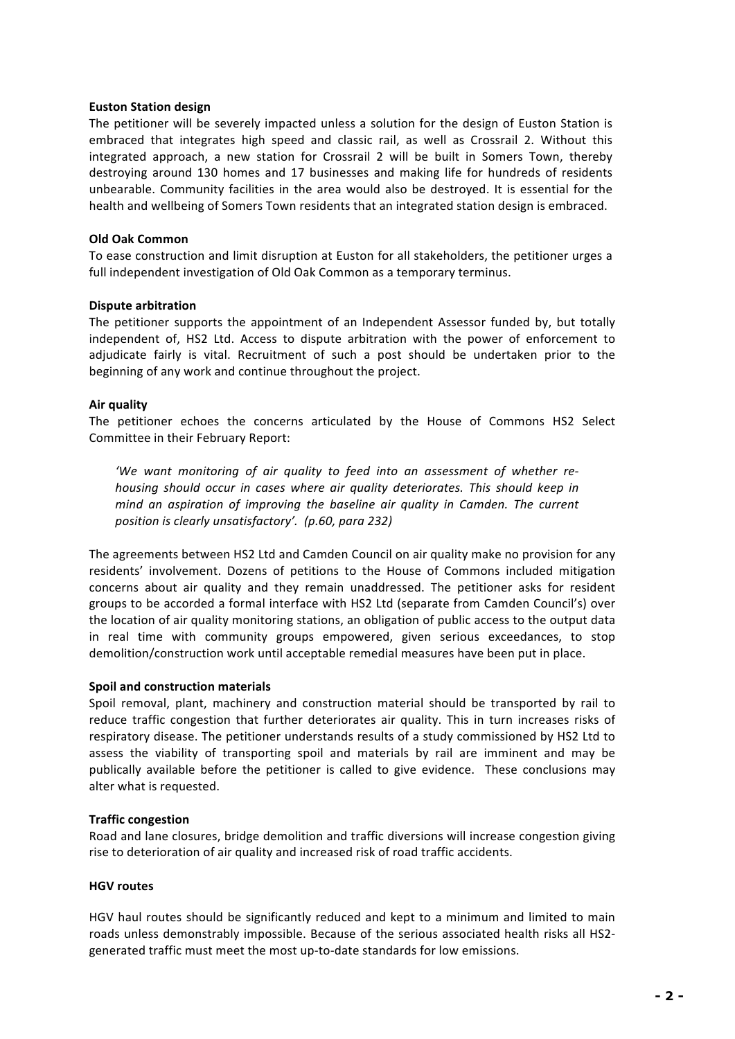# **Euston Station design**

The petitioner will be severely impacted unless a solution for the design of Euston Station is embraced that integrates high speed and classic rail, as well as Crossrail 2. Without this integrated approach, a new station for Crossrail 2 will be built in Somers Town, thereby destroying around 130 homes and 17 businesses and making life for hundreds of residents unbearable. Community facilities in the area would also be destroyed. It is essential for the health and wellbeing of Somers Town residents that an integrated station design is embraced.

# **Old Oak Common**

To ease construction and limit disruption at Euston for all stakeholders, the petitioner urges a full independent investigation of Old Oak Common as a temporary terminus.

# **Dispute arbitration**

The petitioner supports the appointment of an Independent Assessor funded by, but totally independent of, HS2 Ltd. Access to dispute arbitration with the power of enforcement to adjudicate fairly is vital. Recruitment of such a post should be undertaken prior to the beginning of any work and continue throughout the project.

# **Air quality**

The petitioner echoes the concerns articulated by the House of Commons HS2 Select Committee in their February Report:

'We want monitoring of air quality to feed into an assessment of whether re*housing* should occur in cases where air quality deteriorates. This should keep in *mind* an aspiration of improving the baseline air quality in Camden. The current *position is clearly unsatisfactory'. (p.60, para 232)* 

The agreements between HS2 Ltd and Camden Council on air quality make no provision for any residents' involvement. Dozens of petitions to the House of Commons included mitigation concerns about air quality and they remain unaddressed. The petitioner asks for resident groups to be accorded a formal interface with HS2 Ltd (separate from Camden Council's) over the location of air quality monitoring stations, an obligation of public access to the output data in real time with community groups empowered, given serious exceedances, to stop demolition/construction work until acceptable remedial measures have been put in place.

#### **Spoil and construction materials**

Spoil removal, plant, machinery and construction material should be transported by rail to reduce traffic congestion that further deteriorates air quality. This in turn increases risks of respiratory disease. The petitioner understands results of a study commissioned by HS2 Ltd to assess the viability of transporting spoil and materials by rail are imminent and may be publically available before the petitioner is called to give evidence. These conclusions may alter what is requested.

# **Traffic congestion**

Road and lane closures, bridge demolition and traffic diversions will increase congestion giving rise to deterioration of air quality and increased risk of road traffic accidents.

## **HGV routes**

HGV haul routes should be significantly reduced and kept to a minimum and limited to main roads unless demonstrably impossible. Because of the serious associated health risks all HS2generated traffic must meet the most up-to-date standards for low emissions.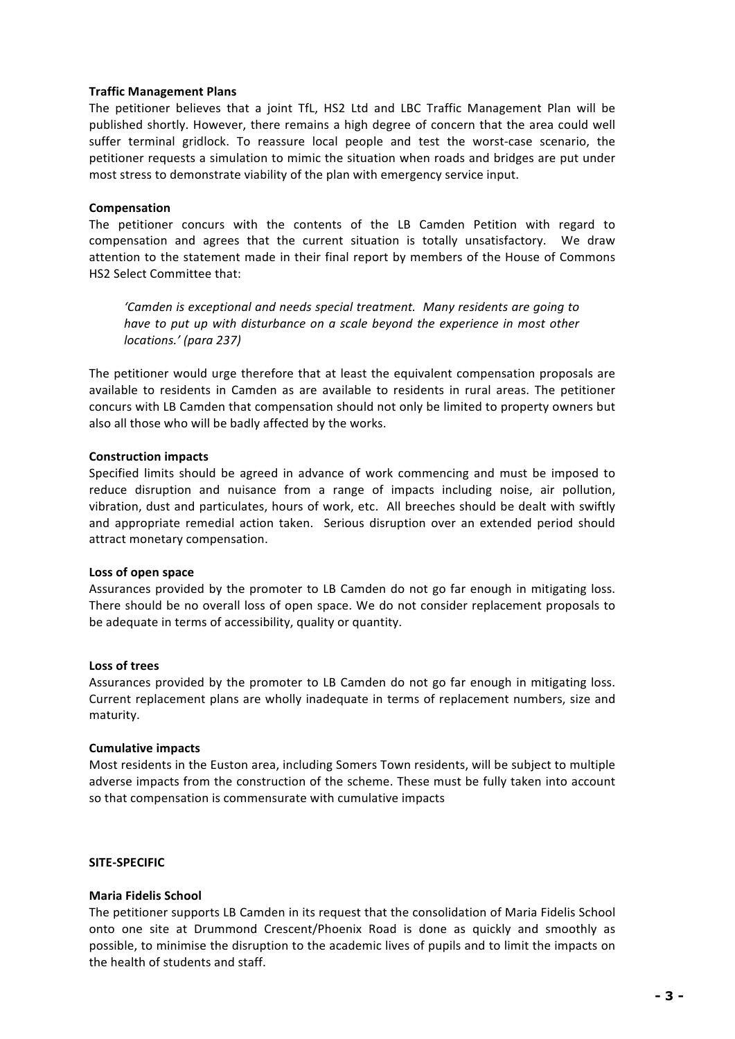# **Traffic Management Plans**

The petitioner believes that a joint TfL, HS2 Ltd and LBC Traffic Management Plan will be published shortly. However, there remains a high degree of concern that the area could well suffer terminal gridlock. To reassure local people and test the worst-case scenario, the petitioner requests a simulation to mimic the situation when roads and bridges are put under most stress to demonstrate viability of the plan with emergency service input.

# **Compensation**

The petitioner concurs with the contents of the LB Camden Petition with regard to compensation and agrees that the current situation is totally unsatisfactory. We draw attention to the statement made in their final report by members of the House of Commons HS2 Select Committee that:

*'Camden is exceptional and needs special treatment. Many residents are going to have to put up with disturbance on a scale beyond the experience in most other locations.' (para 237)*

The petitioner would urge therefore that at least the equivalent compensation proposals are available to residents in Camden as are available to residents in rural areas. The petitioner concurs with LB Camden that compensation should not only be limited to property owners but also all those who will be badly affected by the works.

# **Construction impacts**

Specified limits should be agreed in advance of work commencing and must be imposed to reduce disruption and nuisance from a range of impacts including noise, air pollution, vibration, dust and particulates, hours of work, etc. All breeches should be dealt with swiftly and appropriate remedial action taken. Serious disruption over an extended period should attract monetary compensation.

#### Loss of open space

Assurances provided by the promoter to LB Camden do not go far enough in mitigating loss. There should be no overall loss of open space. We do not consider replacement proposals to be adequate in terms of accessibility, quality or quantity.

#### **Loss of trees**

Assurances provided by the promoter to LB Camden do not go far enough in mitigating loss. Current replacement plans are wholly inadequate in terms of replacement numbers, size and maturity.

# **Cumulative impacts**

Most residents in the Euston area, including Somers Town residents, will be subject to multiple adverse impacts from the construction of the scheme. These must be fully taken into account so that compensation is commensurate with cumulative impacts

#### **SITE-SPECIFIC**

#### **Maria Fidelis School**

The petitioner supports LB Camden in its request that the consolidation of Maria Fidelis School onto one site at Drummond Crescent/Phoenix Road is done as quickly and smoothly as possible, to minimise the disruption to the academic lives of pupils and to limit the impacts on the health of students and staff.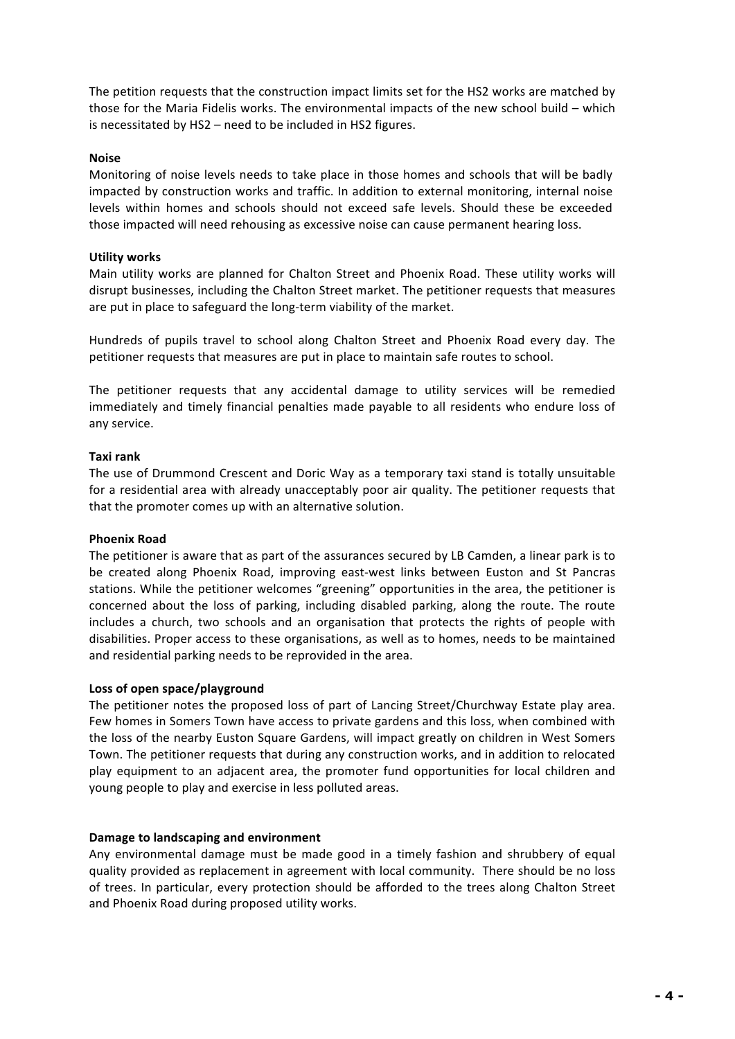The petition requests that the construction impact limits set for the HS2 works are matched by those for the Maria Fidelis works. The environmental impacts of the new school build - which is necessitated by HS2 – need to be included in HS2 figures.

# **Noise**

Monitoring of noise levels needs to take place in those homes and schools that will be badly impacted by construction works and traffic. In addition to external monitoring, internal noise levels within homes and schools should not exceed safe levels. Should these be exceeded those impacted will need rehousing as excessive noise can cause permanent hearing loss.

# **Utility works**

Main utility works are planned for Chalton Street and Phoenix Road. These utility works will disrupt businesses, including the Chalton Street market. The petitioner requests that measures are put in place to safeguard the long-term viability of the market.

Hundreds of pupils travel to school along Chalton Street and Phoenix Road every day. The petitioner requests that measures are put in place to maintain safe routes to school.

The petitioner requests that any accidental damage to utility services will be remedied immediately and timely financial penalties made payable to all residents who endure loss of any service.

# **Taxi rank**

The use of Drummond Crescent and Doric Way as a temporary taxi stand is totally unsuitable for a residential area with already unacceptably poor air quality. The petitioner requests that that the promoter comes up with an alternative solution.

#### **Phoenix Road**

The petitioner is aware that as part of the assurances secured by LB Camden, a linear park is to be created along Phoenix Road, improving east-west links between Euston and St Pancras stations. While the petitioner welcomes "greening" opportunities in the area, the petitioner is concerned about the loss of parking, including disabled parking, along the route. The route includes a church, two schools and an organisation that protects the rights of people with disabilities. Proper access to these organisations, as well as to homes, needs to be maintained and residential parking needs to be reprovided in the area.

#### Loss of open space/playground

The petitioner notes the proposed loss of part of Lancing Street/Churchway Estate play area. Few homes in Somers Town have access to private gardens and this loss, when combined with the loss of the nearby Euston Square Gardens, will impact greatly on children in West Somers Town. The petitioner requests that during any construction works, and in addition to relocated play equipment to an adjacent area, the promoter fund opportunities for local children and young people to play and exercise in less polluted areas.

# **Damage to landscaping and environment**

Any environmental damage must be made good in a timely fashion and shrubbery of equal quality provided as replacement in agreement with local community. There should be no loss of trees. In particular, every protection should be afforded to the trees along Chalton Street and Phoenix Road during proposed utility works.